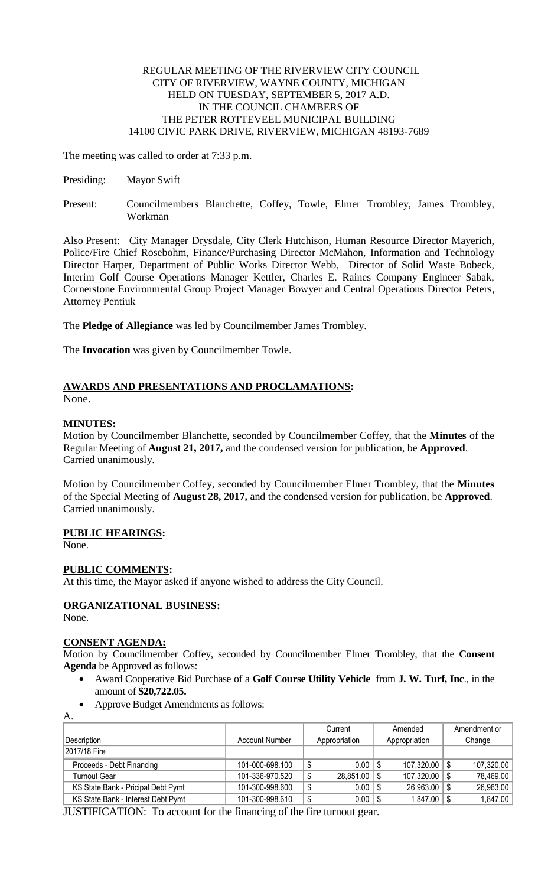### REGULAR MEETING OF THE RIVERVIEW CITY COUNCIL CITY OF RIVERVIEW, WAYNE COUNTY, MICHIGAN HELD ON TUESDAY, SEPTEMBER 5, 2017 A.D. IN THE COUNCIL CHAMBERS OF THE PETER ROTTEVEEL MUNICIPAL BUILDING 14100 CIVIC PARK DRIVE, RIVERVIEW, MICHIGAN 48193-7689

The meeting was called to order at 7:33 p.m.

- Presiding: Mayor Swift
- Present: Councilmembers Blanchette, Coffey, Towle, Elmer Trombley, James Trombley, Workman

Also Present: City Manager Drysdale, City Clerk Hutchison, Human Resource Director Mayerich, Police/Fire Chief Rosebohm, Finance/Purchasing Director McMahon, Information and Technology Director Harper, Department of Public Works Director Webb, Director of Solid Waste Bobeck, Interim Golf Course Operations Manager Kettler, Charles E. Raines Company Engineer Sabak, Cornerstone Environmental Group Project Manager Bowyer and Central Operations Director Peters, Attorney Pentiuk

The **Pledge of Allegiance** was led by Councilmember James Trombley.

The **Invocation** was given by Councilmember Towle.

#### **AWARDS AND PRESENTATIONS AND PROCLAMATIONS:** None.

## **MINUTES:**

Motion by Councilmember Blanchette, seconded by Councilmember Coffey, that the **Minutes** of the Regular Meeting of **August 21, 2017,** and the condensed version for publication, be **Approved**. Carried unanimously.

Motion by Councilmember Coffey, seconded by Councilmember Elmer Trombley, that the **Minutes** of the Special Meeting of **August 28, 2017,** and the condensed version for publication, be **Approved**. Carried unanimously.

## **PUBLIC HEARINGS:**

None.

## **PUBLIC COMMENTS:**

At this time, the Mayor asked if anyone wished to address the City Council.

# **ORGANIZATIONAL BUSINESS:**

None.

A.

## **CONSENT AGENDA:**

Motion by Councilmember Coffey, seconded by Councilmember Elmer Trombley, that the **Consent Agenda** be Approved as follows:

- Award Cooperative Bid Purchase of a **Golf Course Utility Vehicle** from **J. W. Turf, Inc**., in the amount of **\$20,722.05.**
- Approve Budget Amendments as follows:

|                                    |                       |   | Current          | Amended |                   | Amendment or |            |
|------------------------------------|-----------------------|---|------------------|---------|-------------------|--------------|------------|
| Description                        | <b>Account Number</b> |   | Appropriation    |         | Appropriation     |              | Change     |
| 2017/18 Fire                       |                       |   |                  |         |                   |              |            |
| Proceeds - Debt Financing          | 101-000-698.100       |   | $0.00$   \$      |         | $107,320.00$ \ \$ |              | 107,320.00 |
| <b>Turnout Gear</b>                | 101-336-970.520       | S | $28,851.00$ \ \$ |         | $107,320.00$ \ \$ |              | 78,469.00  |
| KS State Bank - Pricipal Debt Pymt | 101-300-998.600       |   | $0.00$   \$      |         | $26,963.00$ \$    |              | 26,963.00  |
| KS State Bank - Interest Debt Pymt | 101-300-998.610       | S | $0.00$   \$      |         | $1,847.00$ \ \$   |              | 1,847.00   |

JUSTIFICATION: To account for the financing of the fire turnout gear.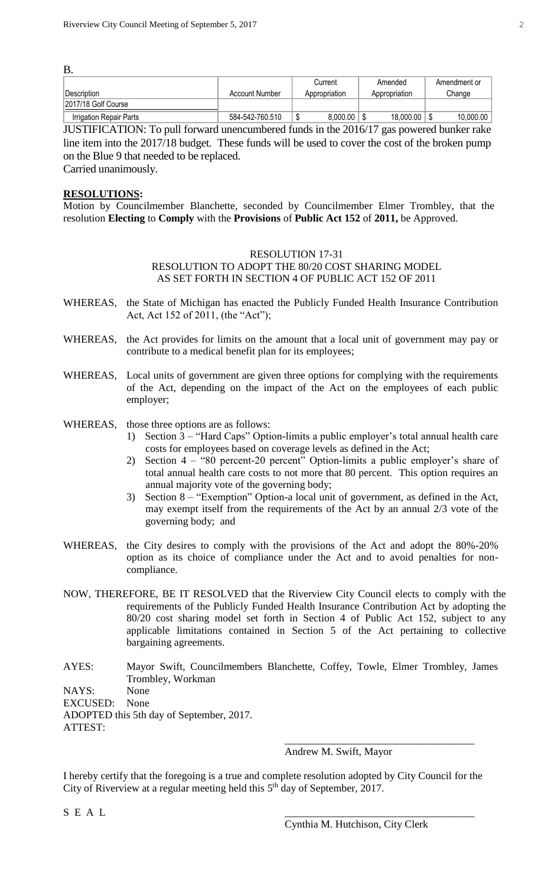| B.                      |                 |               |               |              |  |  |  |  |  |  |
|-------------------------|-----------------|---------------|---------------|--------------|--|--|--|--|--|--|
|                         |                 | Current       | Amended       | Amendment or |  |  |  |  |  |  |
| <b>IDescription</b>     | Account Number  | Appropriation | Appropriation | Change       |  |  |  |  |  |  |
| 2017/18 Golf Course     |                 |               |               |              |  |  |  |  |  |  |
| Irrigation Repair Parts | 584-542-760.510 | 8.000.00      | 18,000.00     | 10,000.00    |  |  |  |  |  |  |

JUSTIFICATION: To pull forward unencumbered funds in the 2016/17 gas powered bunker rake line item into the 2017/18 budget. These funds will be used to cover the cost of the broken pump on the Blue 9 that needed to be replaced.

Carried unanimously.

### **RESOLUTIONS:**

B.

Motion by Councilmember Blanchette, seconded by Councilmember Elmer Trombley, that the resolution **Electing** to **Comply** with the **Provisions** of **Public Act 152** of **2011,** be Approved.

## RESOLUTION 17-31 RESOLUTION TO ADOPT THE 80/20 COST SHARING MODEL AS SET FORTH IN SECTION 4 OF PUBLIC ACT 152 OF 2011

- WHEREAS, the State of Michigan has enacted the Publicly Funded Health Insurance Contribution Act, Act 152 of 2011, (the "Act");
- WHEREAS, the Act provides for limits on the amount that a local unit of government may pay or contribute to a medical benefit plan for its employees;
- WHEREAS, Local units of government are given three options for complying with the requirements of the Act, depending on the impact of the Act on the employees of each public employer;
- WHEREAS, those three options are as follows:
	- 1) Section 3 "Hard Caps" Option-limits a public employer's total annual health care costs for employees based on coverage levels as defined in the Act;
	- 2) Section 4 "80 percent-20 percent" Option-limits a public employer's share of total annual health care costs to not more that 80 percent. This option requires an annual majority vote of the governing body;
	- 3) Section 8 "Exemption" Option-a local unit of government, as defined in the Act, may exempt itself from the requirements of the Act by an annual 2/3 vote of the governing body; and
- WHEREAS, the City desires to comply with the provisions of the Act and adopt the 80%-20% option as its choice of compliance under the Act and to avoid penalties for noncompliance.
- NOW, THEREFORE, BE IT RESOLVED that the Riverview City Council elects to comply with the requirements of the Publicly Funded Health Insurance Contribution Act by adopting the 80/20 cost sharing model set forth in Section 4 of Public Act 152, subject to any applicable limitations contained in Section 5 of the Act pertaining to collective bargaining agreements.
- AYES: Mayor Swift, Councilmembers Blanchette, Coffey, Towle, Elmer Trombley, James Trombley, Workman

NAYS: None

EXCUSED: None

ADOPTED this 5th day of September, 2017.

ATTEST:

Andrew M. Swift, Mayor

I hereby certify that the foregoing is a true and complete resolution adopted by City Council for the City of Riverview at a regular meeting held this  $5<sup>th</sup>$  day of September, 2017.

 $S \, \,E \, \,A \, \,L$ 

\_\_\_\_\_\_\_\_\_\_\_\_\_\_\_\_\_\_\_\_\_\_\_\_\_\_\_\_\_\_\_\_\_\_\_\_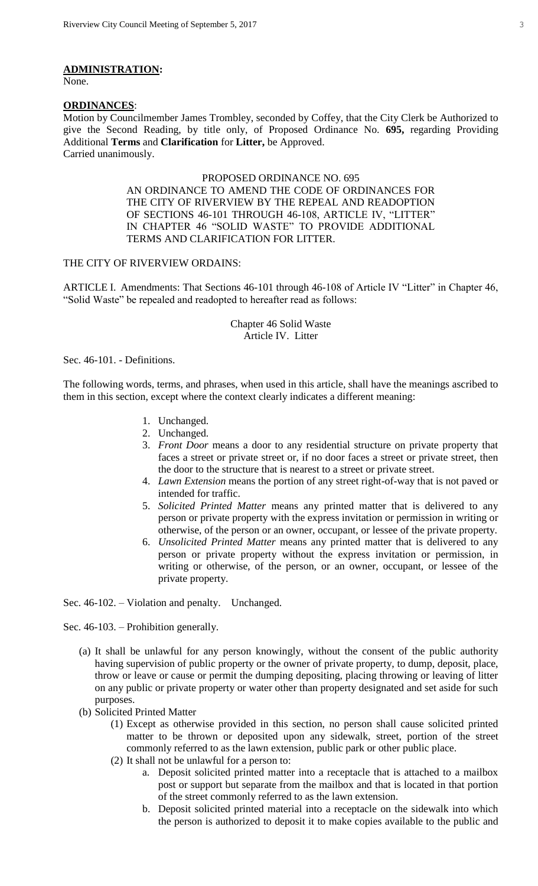#### **ADMINISTRATION:**

None.

#### **ORDINANCES**:

Motion by Councilmember James Trombley, seconded by Coffey, that the City Clerk be Authorized to give the Second Reading, by title only, of Proposed Ordinance No. **695,** regarding Providing Additional **Terms** and **Clarification** for **Litter,** be Approved. Carried unanimously.

## PROPOSED ORDINANCE NO. 695 AN ORDINANCE TO AMEND THE CODE OF ORDINANCES FOR THE CITY OF RIVERVIEW BY THE REPEAL AND READOPTION OF SECTIONS 46-101 THROUGH 46-108, ARTICLE IV, "LITTER" IN CHAPTER 46 "SOLID WASTE" TO PROVIDE ADDITIONAL TERMS AND CLARIFICATION FOR LITTER.

#### THE CITY OF RIVERVIEW ORDAINS:

ARTICLE I. Amendments: That Sections 46-101 through 46-108 of Article IV "Litter" in Chapter 46, "Solid Waste" be repealed and readopted to hereafter read as follows:

> Chapter 46 Solid Waste Article IV. Litter

Sec. 46-101. - Definitions.

The following words, terms, and phrases, when used in this article, shall have the meanings ascribed to them in this section, except where the context clearly indicates a different meaning:

- 1. Unchanged.
- 2. Unchanged.
- 3. *Front Door* means a door to any residential structure on private property that faces a street or private street or, if no door faces a street or private street, then the door to the structure that is nearest to a street or private street.
- 4. *Lawn Extension* means the portion of any street right-of-way that is not paved or intended for traffic.
- 5. *Solicited Printed Matter* means any printed matter that is delivered to any person or private property with the express invitation or permission in writing or otherwise, of the person or an owner, occupant, or lessee of the private property.
- 6. *Unsolicited Printed Matter* means any printed matter that is delivered to any person or private property without the express invitation or permission, in writing or otherwise, of the person, or an owner, occupant, or lessee of the private property.

Sec. 46-102. – Violation and penalty. Unchanged.

Sec. 46-103. – Prohibition generally.

- (a) It shall be unlawful for any person knowingly, without the consent of the public authority having supervision of public property or the owner of private property, to dump, deposit, place, throw or leave or cause or permit the dumping depositing, placing throwing or leaving of litter on any public or private property or water other than property designated and set aside for such purposes.
- (b) Solicited Printed Matter
	- (1) Except as otherwise provided in this section, no person shall cause solicited printed matter to be thrown or deposited upon any sidewalk, street, portion of the street commonly referred to as the lawn extension, public park or other public place.
	- (2) It shall not be unlawful for a person to:
		- a. Deposit solicited printed matter into a receptacle that is attached to a mailbox post or support but separate from the mailbox and that is located in that portion of the street commonly referred to as the lawn extension.
		- b. Deposit solicited printed material into a receptacle on the sidewalk into which the person is authorized to deposit it to make copies available to the public and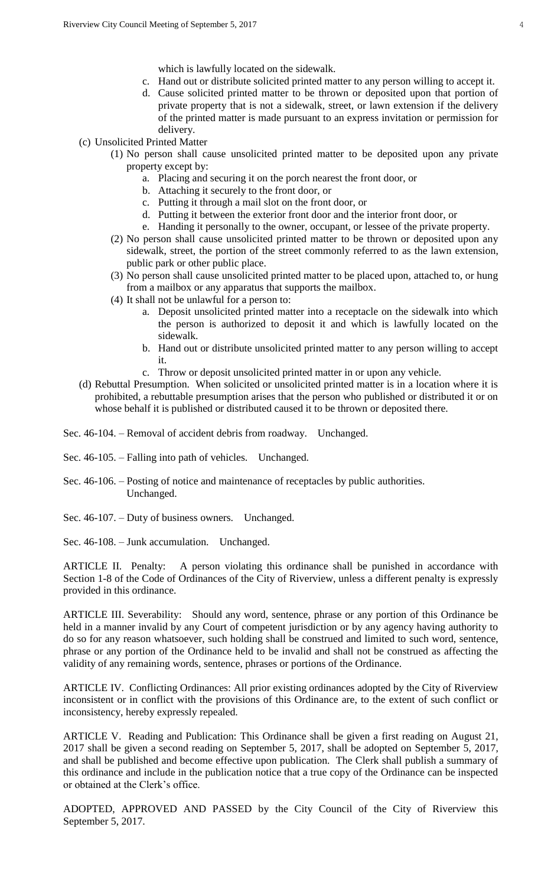which is lawfully located on the sidewalk.

- c. Hand out or distribute solicited printed matter to any person willing to accept it.
- d. Cause solicited printed matter to be thrown or deposited upon that portion of private property that is not a sidewalk, street, or lawn extension if the delivery of the printed matter is made pursuant to an express invitation or permission for delivery.
- (c) Unsolicited Printed Matter
	- (1) No person shall cause unsolicited printed matter to be deposited upon any private property except by:
		- a. Placing and securing it on the porch nearest the front door, or
		- b. Attaching it securely to the front door, or
		- c. Putting it through a mail slot on the front door, or
		- d. Putting it between the exterior front door and the interior front door, or
		- e. Handing it personally to the owner, occupant, or lessee of the private property.
	- (2) No person shall cause unsolicited printed matter to be thrown or deposited upon any sidewalk, street, the portion of the street commonly referred to as the lawn extension, public park or other public place.
	- (3) No person shall cause unsolicited printed matter to be placed upon, attached to, or hung from a mailbox or any apparatus that supports the mailbox.
	- (4) It shall not be unlawful for a person to:
		- a. Deposit unsolicited printed matter into a receptacle on the sidewalk into which the person is authorized to deposit it and which is lawfully located on the sidewalk.
		- b. Hand out or distribute unsolicited printed matter to any person willing to accept it.
		- c. Throw or deposit unsolicited printed matter in or upon any vehicle.
- (d) Rebuttal Presumption. When solicited or unsolicited printed matter is in a location where it is prohibited, a rebuttable presumption arises that the person who published or distributed it or on whose behalf it is published or distributed caused it to be thrown or deposited there.

Sec. 46-104. – Removal of accident debris from roadway. Unchanged.

Sec. 46-105. – Falling into path of vehicles. Unchanged.

- Sec. 46-106. Posting of notice and maintenance of receptacles by public authorities. Unchanged.
- Sec. 46-107. Duty of business owners. Unchanged.

Sec. 46-108. – Junk accumulation. Unchanged.

ARTICLE II. Penalty: A person violating this ordinance shall be punished in accordance with Section 1-8 of the Code of Ordinances of the City of Riverview, unless a different penalty is expressly provided in this ordinance.

ARTICLE III. Severability: Should any word, sentence, phrase or any portion of this Ordinance be held in a manner invalid by any Court of competent jurisdiction or by any agency having authority to do so for any reason whatsoever, such holding shall be construed and limited to such word, sentence, phrase or any portion of the Ordinance held to be invalid and shall not be construed as affecting the validity of any remaining words, sentence, phrases or portions of the Ordinance.

ARTICLE IV. Conflicting Ordinances: All prior existing ordinances adopted by the City of Riverview inconsistent or in conflict with the provisions of this Ordinance are, to the extent of such conflict or inconsistency, hereby expressly repealed.

ARTICLE V. Reading and Publication: This Ordinance shall be given a first reading on August 21, 2017 shall be given a second reading on September 5, 2017, shall be adopted on September 5, 2017, and shall be published and become effective upon publication. The Clerk shall publish a summary of this ordinance and include in the publication notice that a true copy of the Ordinance can be inspected or obtained at the Clerk's office.

ADOPTED, APPROVED AND PASSED by the City Council of the City of Riverview this September 5, 2017.